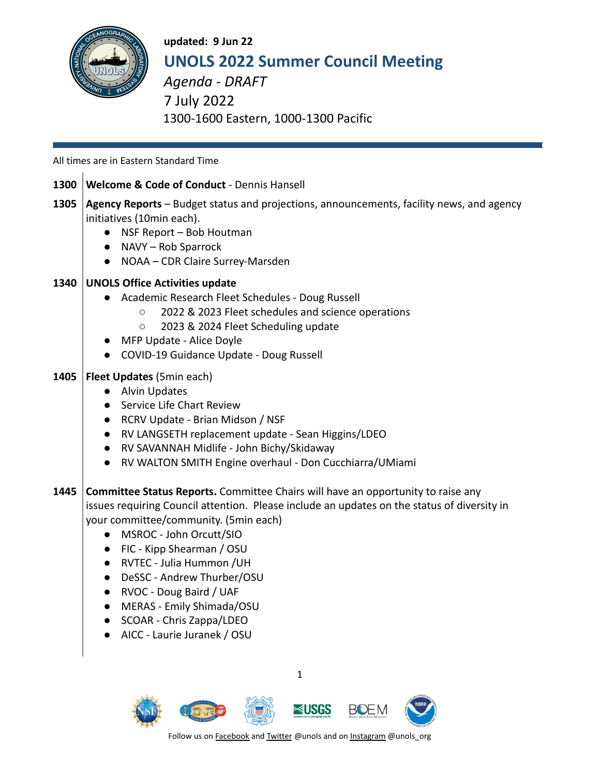

 $\mathbf{I}$ 

## **updated: 9 Jun 22 UNOLS 2022 Summer Council Meeting**

*Agenda - DRAFT* 7 July 2022 1300-1600 Eastern, 1000-1300 Pacific

All times are in Eastern Standard Time

| 1300 | <b>Welcome &amp; Code of Conduct - Dennis Hansell</b>                                                                                                                                                                                                                                                                                                                                                                                                                                                                                                      |
|------|------------------------------------------------------------------------------------------------------------------------------------------------------------------------------------------------------------------------------------------------------------------------------------------------------------------------------------------------------------------------------------------------------------------------------------------------------------------------------------------------------------------------------------------------------------|
| 1305 | Agency Reports - Budget status and projections, announcements, facility news, and agency<br>initiatives (10min each).<br>NSF Report - Bob Houtman<br>• NAVY - Rob Sparrock<br>• NOAA - CDR Claire Surrey-Marsden                                                                                                                                                                                                                                                                                                                                           |
| 1340 | <b>UNOLS Office Activities update</b><br>Academic Research Fleet Schedules - Doug Russell<br>2022 & 2023 Fleet schedules and science operations<br>$\circ$<br>2023 & 2024 Fleet Scheduling update<br>$\bigcirc$<br>MFP Update - Alice Doyle<br>COVID-19 Guidance Update - Doug Russell                                                                                                                                                                                                                                                                     |
| 1405 | Fleet Updates (5min each)<br>Alvin Updates<br>• Service Life Chart Review<br>RCRV Update - Brian Midson / NSF<br>$\bullet$<br>RV LANGSETH replacement update - Sean Higgins/LDEO<br>$\bullet$<br>RV SAVANNAH Midlife - John Bichy/Skidaway<br>$\bullet$<br>RV WALTON SMITH Engine overhaul - Don Cucchiarra/UMiami<br>$\bullet$                                                                                                                                                                                                                            |
| 1445 | Committee Status Reports. Committee Chairs will have an opportunity to raise any<br>issues requiring Council attention. Please include an updates on the status of diversity in<br>your committee/community. (5min each)<br>MSROC - John Orcutt/SIO<br>$\bullet$<br>FIC - Kipp Shearman / OSU<br>$\bullet$<br>RVTEC - Julia Hummon /UH<br>$\bullet$<br>DeSSC - Andrew Thurber/OSU<br>$\bullet$<br>RVOC - Doug Baird / UAF<br>$\bullet$<br>MERAS - Emily Shimada/OSU<br>$\bullet$<br>• SCOAR - Chris Zappa/LDEO<br>AICC - Laurie Juranek / OSU<br>$\bullet$ |



1